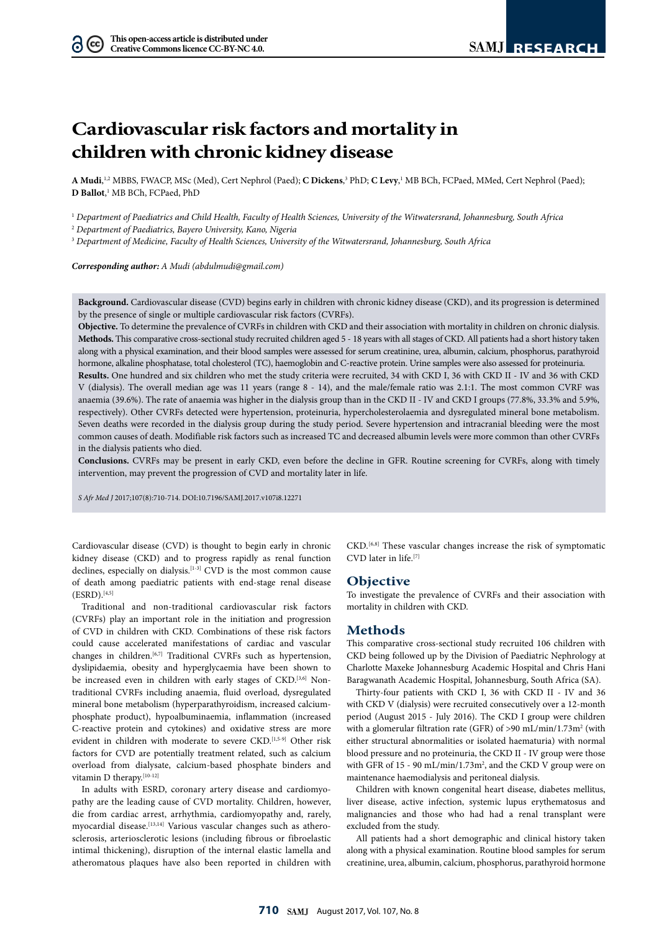# **Cardiovascular risk factors and mortality in children with chronic kidney disease**

A Mudi,<sup>1,2</sup> MBBS, FWACP, MSc (Med), Cert Nephrol (Paed); **C Dickens**,<sup>3</sup> PhD; **C Levy**,<sup>1</sup> MB BCh, FCPaed, MMed, Cert Nephrol (Paed); **D Ballot**, 1 MB BCh, FCPaed, PhD

<sup>1</sup> *Department of Paediatrics and Child Health, Faculty of Health Sciences, University of the Witwatersrand, Johannesburg, South Africa*

<sup>2</sup> *Department of Paediatrics, Bayero University, Kano, Nigeria*

<sup>3</sup> *Department of Medicine, Faculty of Health Sciences, University of the Witwatersrand, Johannesburg, South Africa*

*Corresponding author: A Mudi [\(abdulmudi@gmail.com](mailto:abdulmudi@gmail.com))*

**Background.** Cardiovascular disease (CVD) begins early in children with chronic kidney disease (CKD), and its progression is determined by the presence of single or multiple cardiovascular risk factors (CVRFs).

**Objective.** To determine the prevalence of CVRFs in children with CKD and their association with mortality in children on chronic dialysis. **Methods.** This comparative cross-sectional study recruited children aged 5 - 18 years with all stages of CKD. All patients had a short history taken along with a physical examination, and their blood samples were assessed for serum creatinine, urea, albumin, calcium, phosphorus, parathyroid hormone, alkaline phosphatase, total cholesterol (TC), haemoglobin and C-reactive protein. Urine samples were also assessed for proteinuria.

**Results.** One hundred and six children who met the study criteria were recruited, 34 with CKD I, 36 with CKD II - IV and 36 with CKD V (dialysis). The overall median age was 11 years (range 8 - 14), and the male/female ratio was 2.1:1. The most common CVRF was anaemia (39.6%). The rate of anaemia was higher in the dialysis group than in the CKD II - IV and CKD I groups (77.8%, 33.3% and 5.9%, respectively). Other CVRFs detected were hypertension, proteinuria, hypercholesterolaemia and dysregulated mineral bone metabolism. Seven deaths were recorded in the dialysis group during the study period. Severe hypertension and intracranial bleeding were the most common causes of death. Modifiable risk factors such as increased TC and decreased albumin levels were more common than other CVRFs in the dialysis patients who died.

**Conclusions.** CVRFs may be present in early CKD, even before the decline in GFR. Routine screening for CVRFs, along with timely intervention, may prevent the progression of CVD and mortality later in life.

*S Afr Med J* 2017;107(8):710-714. DOI:<10.7196/SAMJ>.2017.v107i8.12271

Cardiovascular disease (CVD) is thought to begin early in chronic kidney disease (CKD) and to progress rapidly as renal function declines, especially on dialysis.[1-3] CVD is the most common cause of death among paediatric patients with end-stage renal disease  $(ESRD).$ [4,5]

Traditional and non-traditional cardiovascular risk factors (CVRFs) play an important role in the initiation and progression of CVD in children with CKD. Combinations of these risk factors could cause accelerated manifestations of cardiac and vascular changes in children.<sup>[6,7]</sup> Traditional CVRFs such as hypertension, dyslipidaemia, obesity and hyperglycaemia have been shown to be increased even in children with early stages of CKD.<sup>[3,6]</sup> Nontraditional CVRFs including anaemia, fluid overload, dysregulated mineral bone metabolism (hyperparathyroidism, increased calciumphosphate product), hypoalbuminaemia, inflammation (increased C-reactive protein and cytokines) and oxidative stress are more evident in children with moderate to severe CKD.<sup>[1,5-9]</sup> Other risk factors for CVD are potentially treatment related, such as calcium overload from dialysate, calcium-based phosphate binders and vitamin D therapy.<sup>[10-12]</sup>

In adults with ESRD, coronary artery disease and cardiomyopathy are the leading cause of CVD mortality. Children, however, die from cardiac arrest, arrhythmia, cardiomyopathy and, rarely, myocardial disease.<sup>[13,14]</sup> Various vascular changes such as atherosclerosis, arteriosclerotic lesions (including fibrous or fibroelastic intimal thickening), disruption of the internal elastic lamella and atheromatous plaques have also been reported in children with

CKD.[6,8] These vascular changes increase the risk of symptomatic CVD later in life.[7]

### **Objective**

To investigate the prevalence of CVRFs and their association with mortality in children with CKD.

## **Methods**

This comparative cross-sectional study recruited 106 children with CKD being followed up by the Division of Paediatric Nephrology at Charlotte Maxeke Johannesburg Academic Hospital and Chris Hani Baragwanath Academic Hospital, Johannesburg, South Africa (SA).

Thirty-four patients with CKD I, 36 with CKD II - IV and 36 with CKD V (dialysis) were recruited consecutively over a 12-month period (August 2015 - July 2016). The CKD I group were children with a glomerular filtration rate (GFR) of  $>90$  mL/min/1.73m<sup>2</sup> (with either structural abnormalities or isolated haematuria) with normal blood pressure and no proteinuria, the CKD II - IV group were those with GFR of 15 - 90 mL/min/1.73m<sup>2</sup>, and the CKD V group were on maintenance haemodialysis and peritoneal dialysis.

Children with known congenital heart disease, diabetes mellitus, liver disease, active infection, systemic lupus erythematosus and malignancies and those who had had a renal transplant were excluded from the study.

All patients had a short demographic and clinical history taken along with a physical examination. Routine blood samples for serum creatinine, urea, albumin, calcium, phosphorus, parathyroid hormone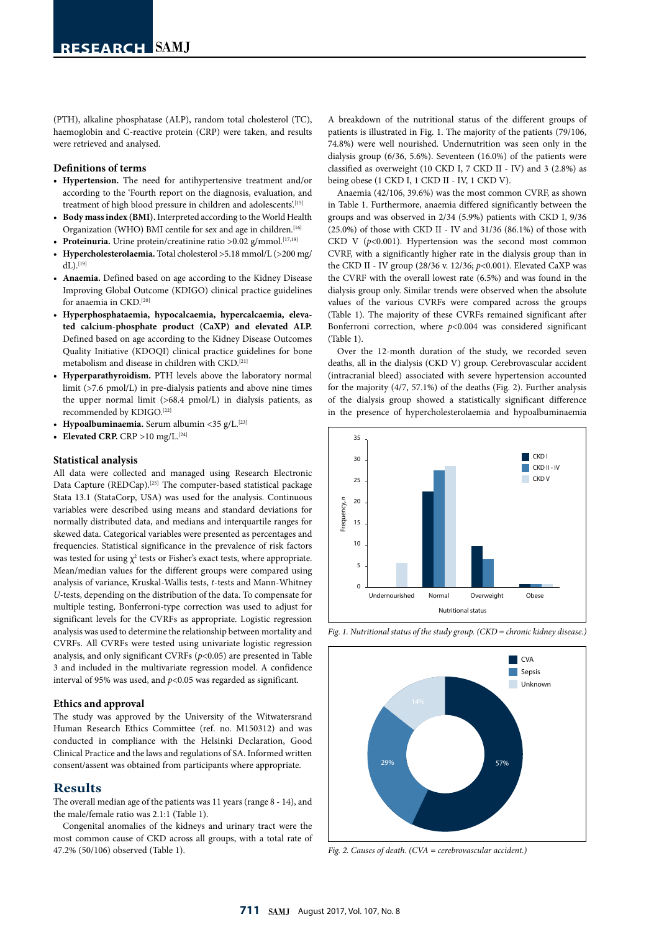(PTH), alkaline phosphatase (ALP), random total cholesterol (TC), haemoglobin and C-reactive protein (CRP) were taken, and results were retrieved and analysed.

### **Definitions of terms**

- **• Hypertension.** The need for antihypertensive treatment and/or according to the 'Fourth report on the diagnosis, evaluation, and treatment of high blood pressure in children and adolescents'.<sup>[15]</sup>
- **• Body mass index (BMI).** Interpreted according to the World Health Organization (WHO) BMI centile for sex and age in children.<sup>[16]</sup>
- Proteinuria. Urine protein/creatinine ratio >0.02 g/mmol.<sup>[17,18]</sup>
- **• Hypercholesterolaemia.** Total cholesterol >5.18 mmol/L (>200 mg/  $dL$ ).<sup>[19]</sup>
- **• Anaemia.** Defined based on age according to the Kidney Disease Improving Global Outcome (KDIGO) clinical practice guidelines for anaemia in CKD.[20]
- **• Hyperphosphataemia, hypocalcaemia, hypercalcaemia, elevated calcium-phosphate product (CaXP) and elevated ALP.**  Defined based on age according to the Kidney Disease Outcomes Quality Initiative (KDOQI) clinical practice guidelines for bone metabolism and disease in children with CKD.[21]
- **• Hyperparathyroidism.** PTH levels above the laboratory normal limit (>7.6 pmol/L) in pre-dialysis patients and above nine times the upper normal limit (>68.4 pmol/L) in dialysis patients, as recommended by KDIGO.[22]
- **• Hypoalbuminaemia.** Serum albumin <35 g/L.[23]
- **Elevated CRP.**  $CRP > 10$  mg/L.<sup>[24]</sup>

#### **Statistical analysis**

All data were collected and managed using Research Electronic Data Capture (REDCap).[25] The computer-based statistical package Stata 13.1 (StataCorp, USA) was used for the analysis. Continuous variables were described using means and standard deviations for normally distributed data, and medians and interquartile ranges for skewed data. Categorical variables were presented as percentages and frequencies. Statistical significance in the prevalence of risk factors was tested for using  $\chi^2$  tests or Fisher's exact tests, where appropriate. Mean/median values for the different groups were compared using analysis of variance, Kruskal-Wallis tests, *t*-tests and Mann-Whitney *U*-tests, depending on the distribution of the data. To compensate for multiple testing, Bonferroni-type correction was used to adjust for significant levels for the CVRFs as appropriate. Logistic regression analysis was used to determine the relationship between mortality and CVRFs. All CVRFs were tested using univariate logistic regression analysis, and only significant CVRFs (*p*<0.05) are presented in Table 3 and included in the multivariate regression model. A confidence interval of 95% was used, and *p*<0.05 was regarded as significant.

#### **Ethics and approval**

The study was approved by the University of the Witwatersrand Human Research Ethics Committee (ref. no. M150312) and was conducted in compliance with the Helsinki Declaration, Good Clinical Practice and the laws and regulations of SA. Informed written consent/assent was obtained from participants where appropriate.

## **Results**

The overall median age of the patients was 11 years (range 8 - 14), and the male/female ratio was 2.1:1 (Table 1).

Congenital anomalies of the kidneys and urinary tract were the most common cause of CKD across all groups, with a total rate of 47.2% (50/106) observed (Table 1).

A breakdown of the nutritional status of the different groups of patients is illustrated in Fig. 1. The majority of the patients (79/106, 74.8%) were well nourished. Undernutrition was seen only in the dialysis group (6/36, 5.6%). Seventeen (16.0%) of the patients were classified as overweight (10 CKD I, 7 CKD II - IV) and 3 (2.8%) as being obese (1 CKD I, 1 CKD II - IV, 1 CKD V).

Anaemia (42/106, 39.6%) was the most common CVRF, as shown in Table 1. Furthermore, anaemia differed significantly between the groups and was observed in 2/34 (5.9%) patients with CKD I, 9/36 (25.0%) of those with CKD II - IV and 31/36 (86.1%) of those with CKD V  $(p<0.001)$ . Hypertension was the second most common CVRF, with a significantly higher rate in the dialysis group than in the CKD II - IV group (28/36 v. 12/36; *p*<0.001). Elevated CaXP was the CVRF with the overall lowest rate (6.5%) and was found in the dialysis group only. Similar trends were observed when the absolute values of the various CVRFs were compared across the groups (Table 1). The majority of these CVRFs remained significant after Bonferroni correction, where *p*<0.004 was considered significant (Table 1).

Over the 12-month duration of the study, we recorded seven deaths, all in the dialysis (CKD V) group. Cerebrovascular accident (intracranial bleed) associated with severe hypertension accounted for the majority  $(4/7, 57.1%)$  of the deaths (Fig. 2). Further analysis of the dialysis group showed a statistically significant difference in the presence of hypercholesterolaemia and hypoalbuminaemia 30





*Fig. 2. Causes of death. (CVA = cerebrovascular accident.)*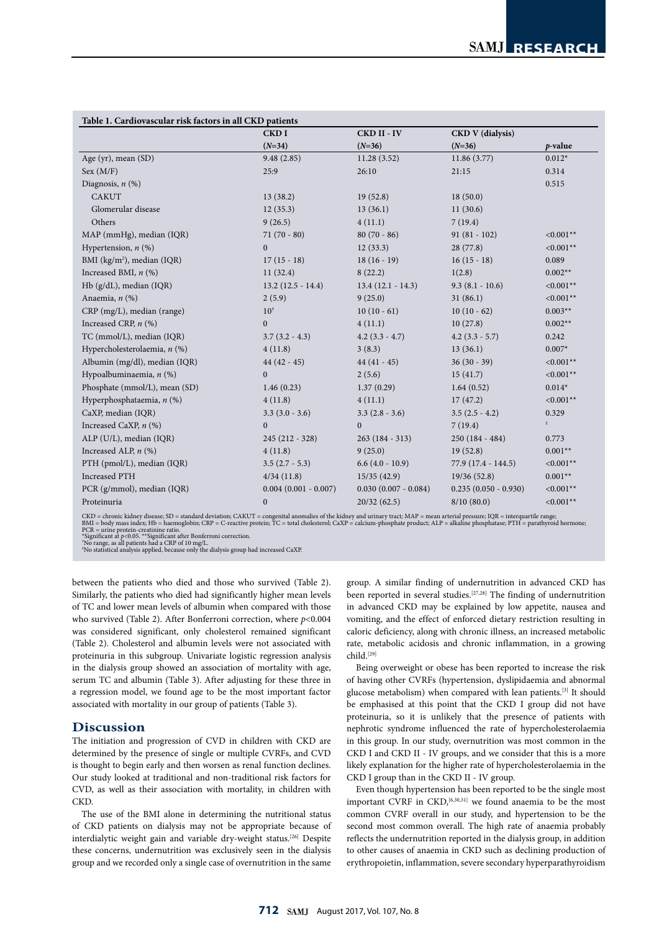| Table 1. Cardiovascular risk factors in all CKD patients |                        |                        |                         |             |  |
|----------------------------------------------------------|------------------------|------------------------|-------------------------|-------------|--|
|                                                          | <b>CKDI</b>            | CKD II - IV            | <b>CKD V</b> (dialysis) |             |  |
|                                                          | $(N=34)$               | $(N=36)$               | $(N=36)$                | $p$ -value  |  |
| Age (yr), mean (SD)                                      | 9.48(2.85)             | 11.28(3.52)            | 11.86(3.77)             | $0.012*$    |  |
| Sex (M/F)                                                | 25:9                   | 26:10                  | 21:15                   | 0.314       |  |
| Diagnosis, $n$ (%)                                       |                        |                        |                         | 0.515       |  |
| <b>CAKUT</b>                                             | 13(38.2)               | 19(52.8)               | 18(50.0)                |             |  |
| Glomerular disease                                       | 12(35.3)               | 13(36.1)               | 11(30.6)                |             |  |
| Others                                                   | 9(26.5)                | 4(11.1)                | 7(19.4)                 |             |  |
| MAP (mmHg), median (IQR)                                 | $71(70-80)$            | $80(70-86)$            | $91(81 - 102)$          | $< 0.001**$ |  |
| Hypertension, $n$ (%)                                    | $\Omega$               | 12(33.3)               | 28(77.8)                | $< 0.001**$ |  |
| BMI (kg/m <sup>2</sup> ), median (IQR)                   | $17(15-18)$            | $18(16-19)$            | $16(15-18)$             | 0.089       |  |
| Increased BMI, $n$ (%)                                   | 11(32.4)               | 8(22.2)                | 1(2.8)                  | $0.002**$   |  |
| Hb (g/dL), median (IQR)                                  | $13.2(12.5 - 14.4)$    | $13.4(12.1 - 14.3)$    | $9.3(8.1 - 10.6)$       | $< 0.001**$ |  |
| Anaemia, $n$ $(\%)$                                      | 2(5.9)                 | 9(25.0)                | 31(86.1)                | $< 0.001**$ |  |
| CRP (mg/L), median (range)                               | $10^{\dagger}$         | $10(10-61)$            | $10(10-62)$             | $0.003**$   |  |
| Increased CRP, $n$ (%)                                   | $\overline{0}$         | 4(11.1)                | 10(27.8)                | $0.002**$   |  |
| TC (mmol/L), median (IQR)                                | $3.7(3.2 - 4.3)$       | $4.2(3.3 - 4.7)$       | $4.2$ (3.3 - 5.7)       | 0.242       |  |
| Hypercholesterolaemia, n (%)                             | 4(11.8)                | 3(8.3)                 | 13(36.1)                | $0.007*$    |  |
| Albumin (mg/dl), median (IQR)                            | $44(42-45)$            | $44(41 - 45)$          | $36(30 - 39)$           | $< 0.001**$ |  |
| Hypoalbuminaemia, $n$ (%)                                | $\overline{0}$         | 2(5.6)                 | 15(41.7)                | $< 0.001**$ |  |
| Phosphate (mmol/L), mean (SD)                            | 1.46(0.23)             | 1.37(0.29)             | 1.64(0.52)              | $0.014*$    |  |
| Hyperphosphataemia, n (%)                                | 4(11.8)                | 4(11.1)                | 17(47.2)                | $< 0.001**$ |  |
| CaXP, median (IQR)                                       | $3.3(3.0 - 3.6)$       | $3.3(2.8 - 3.6)$       | $3.5(2.5 - 4.2)$        | 0.329       |  |
| Increased CaXP, $n$ (%)                                  | $\Omega$               | $\Omega$               | 7(19.4)                 | $\ddagger$  |  |
| ALP (U/L), median (IQR)                                  | 245 (212 - 328)        | $263(184 - 313)$       | $250(184 - 484)$        | 0.773       |  |
| Increased ALP, $n$ (%)                                   | 4(11.8)                | 9(25.0)                | 19(52.8)                | $0.001**$   |  |
| PTH (pmol/L), median (IQR)                               | $3.5(2.7 - 5.3)$       | $6.6(4.0 - 10.9)$      | 77.9 (17.4 - 144.5)     | $< 0.001**$ |  |
| <b>Increased PTH</b>                                     | 4/34(11.8)             | 15/35(42.9)            | 19/36(52.8)             | $0.001**$   |  |
| PCR (g/mmol), median (IQR)                               | $0.004(0.001 - 0.007)$ | $0.030(0.007 - 0.084)$ | $0.235(0.050 - 0.930)$  | $< 0.001**$ |  |
| Proteinuria                                              | $\mathbf{0}$           | 20/32(62.5)            | 8/10(80.0)              | $< 0.001**$ |  |

CKD = chronic kidney disease; SD = standard deviation; CAKUT = congenital anomalies of the kidney and urinary tract; MAP = mean arterial pressure; IQR = interquartile range;<br>BMI = body mass index; Hb = haemoglobin; CRP = C

PCR = urine protein-creatinine ratio.<br>\*Significant at p<0.05. \*\*Significant after Bonferroni correction.<br>"No range, as all patients had a CRP of 10 mg/L.<br>"No statistical analysis applied, because only the dialysis group ha

between the patients who died and those who survived (Table 2). Similarly, the patients who died had significantly higher mean levels of TC and lower mean levels of albumin when compared with those who survived (Table 2). After Bonferroni correction, where *p*<0.004 was considered significant, only cholesterol remained significant (Table 2). Cholesterol and albumin levels were not associated with proteinuria in this subgroup. Univariate logistic regression analysis in the dialysis group showed an association of mortality with age, serum TC and albumin (Table 3). After adjusting for these three in a regression model, we found age to be the most important factor associated with mortality in our group of patients (Table 3).

## **Discussion**

The initiation and progression of CVD in children with CKD are determined by the presence of single or multiple CVRFs, and CVD is thought to begin early and then worsen as renal function declines. Our study looked at traditional and non-traditional risk factors for CVD, as well as their association with mortality, in children with CKD.

The use of the BMI alone in determining the nutritional status of CKD patients on dialysis may not be appropriate because of interdialytic weight gain and variable dry-weight status.<sup>[26]</sup> Despite these concerns, undernutrition was exclusively seen in the dialysis group and we recorded only a single case of overnutrition in the same

group. A similar finding of undernutrition in advanced CKD has been reported in several studies.[27,28] The finding of undernutrition in advanced CKD may be explained by low appetite, nausea and vomiting, and the effect of enforced dietary restriction resulting in caloric deficiency, along with chronic illness, an increased metabolic rate, metabolic acidosis and chronic inflammation, in a growing child.[29]

Being overweight or obese has been reported to increase the risk of having other CVRFs (hypertension, dyslipidaemia and abnormal glucose metabolism) when compared with lean patients.[3] It should be emphasised at this point that the CKD I group did not have proteinuria, so it is unlikely that the presence of patients with nephrotic syndrome influenced the rate of hypercholesterolaemia in this group. In our study, overnutrition was most common in the CKD I and CKD II - IV groups, and we consider that this is a more likely explanation for the higher rate of hypercholesterolaemia in the CKD I group than in the CKD II - IV group.

Even though hypertension has been reported to be the single most important CVRF in  $CKD$ , <sup>[6,30,31]</sup> we found anaemia to be the most common CVRF overall in our study, and hypertension to be the second most common overall. The high rate of anaemia probably reflects the undernutrition reported in the dialysis group, in addition to other causes of anaemia in CKD such as declining production of erythropoietin, inflammation, severe secondary hyperparathyroidism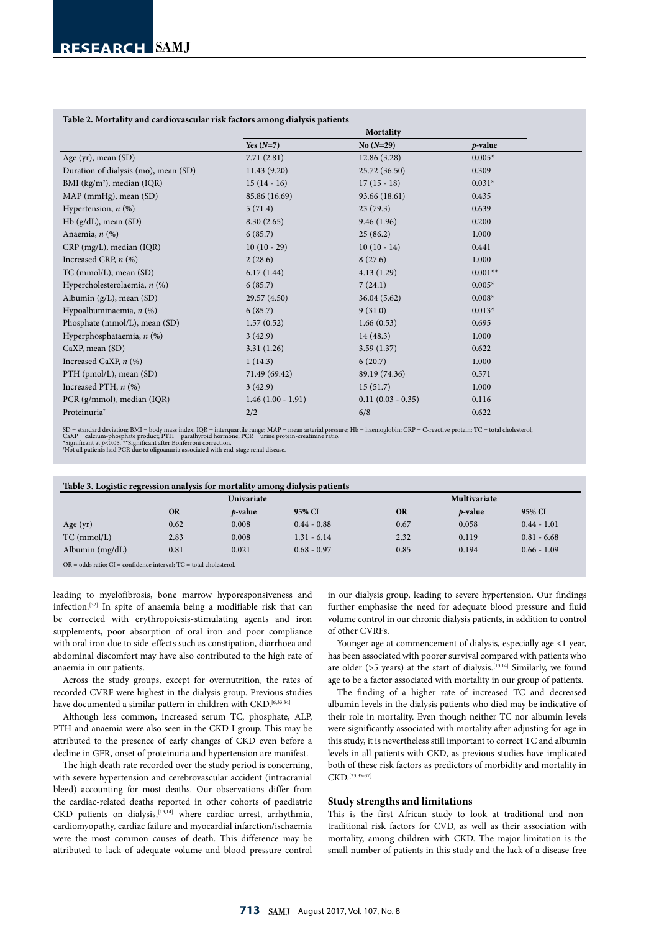## **Table 2. Mortality and cardiovascular risk factors among dialysis patients**

|                                        | racie si nici anii ji anu carure raccular ricit nicioro among ularjolo patiento |                     |            |
|----------------------------------------|---------------------------------------------------------------------------------|---------------------|------------|
|                                        | Mortality                                                                       |                     |            |
|                                        | Yes $(N=7)$                                                                     | $No(N=29)$          | $p$ -value |
| Age (yr), mean (SD)                    | 7.71(2.81)                                                                      | 12.86(3.28)         | $0.005*$   |
| Duration of dialysis (mo), mean (SD)   | 11.43(9.20)                                                                     | 25.72 (36.50)       | 0.309      |
| BMI (kg/m <sup>2</sup> ), median (IQR) | $15(14-16)$                                                                     | $17(15-18)$         | $0.031*$   |
| MAP (mmHg), mean (SD)                  | 85.86 (16.69)                                                                   | 93.66 (18.61)       | 0.435      |
| Hypertension, $n$ (%)                  | 5(71.4)                                                                         | 23(79.3)            | 0.639      |
| $Hb$ (g/dL), mean (SD)                 | 8.30(2.65)                                                                      | 9.46(1.96)          | 0.200      |
| Anaemia, $n$ $(\%)$                    | 6(85.7)                                                                         | 25(86.2)            | 1.000      |
| $CRP$ (mg/L), median (IQR)             | $10(10-29)$                                                                     | $10(10-14)$         | 0.441      |
| Increased CRP, $n$ (%)                 | 2(28.6)                                                                         | 8(27.6)             | 1.000      |
| TC (mmol/L), mean (SD)                 | 6.17(1.44)                                                                      | 4.13(1.29)          | $0.001**$  |
| Hypercholesterolaemia, n (%)           | 6(85.7)                                                                         | 7(24.1)             | $0.005*$   |
| Albumin $(g/L)$ , mean $(SD)$          | 29.57 (4.50)                                                                    | 36.04(5.62)         | $0.008*$   |
| Hypoalbuminaemia, n (%)                | 6(85.7)                                                                         | 9(31.0)             | $0.013*$   |
| Phosphate (mmol/L), mean (SD)          | 1.57(0.52)                                                                      | 1.66(0.53)          | 0.695      |
| Hyperphosphataemia, $n$ (%)            | 3(42.9)                                                                         | 14(48.3)            | 1.000      |
| $CaXP$ , mean $(SD)$                   | 3.31(1.26)                                                                      | 3.59(1.37)          | 0.622      |
| Increased CaXP, n (%)                  | 1(14.3)                                                                         | 6(20.7)             | 1.000      |
| PTH (pmol/L), mean (SD)                | 71.49 (69.42)                                                                   | 89.19 (74.36)       | 0.571      |
| Increased PTH, $n$ $(\%)$              | 3(42.9)                                                                         | 15(51.7)            | 1.000      |
| PCR (g/mmol), median (IQR)             | $1.46(1.00 - 1.91)$                                                             | $0.11(0.03 - 0.35)$ | 0.116      |
| Proteinuria <sup>†</sup>               | 2/2                                                                             | 6/8                 | 0.622      |

SD = standard deviation; BMI = body mass index; IQR = interquartile range; MAP = mean arterial pressure; Hb = haemoglobin; CRP = C-reactive protein; TC = total cholesterol;<br>CaXP = calcium-phosphate product; PTH = parathyr

| Table 3. Logistic regression analysis for mortality among dialysis patients |  |  |
|-----------------------------------------------------------------------------|--|--|
|                                                                             |  |  |

|                   |           | <b>Univariate</b> |               |           | Multivariate    |               |
|-------------------|-----------|-------------------|---------------|-----------|-----------------|---------------|
|                   | <b>OR</b> | <i>p</i> -value   | 95% CI        | <b>OR</b> | <i>p</i> -value | 95% CI        |
| Age $(yr)$        | 0.62      | 0.008             | $0.44 - 0.88$ | 0.67      | 0.058           | $0.44 - 1.01$ |
| $TC$ (mmol/L)     | 2.83      | 0.008             | $1.31 - 6.14$ | 2.32      | 0.119           | $0.81 - 6.68$ |
| Albumin $(mg/dL)$ | 0.81      | 0.021             | $0.68 - 0.97$ | 0.85      | 0.194           | $0.66 - 1.09$ |

OR = odds ratio; CI = confidence interval; TC = total cholesterol.

leading to myelofibrosis, bone marrow hyporesponsiveness and infection.[32] In spite of anaemia being a modifiable risk that can be corrected with erythropoiesis-stimulating agents and iron supplements, poor absorption of oral iron and poor compliance with oral iron due to side-effects such as constipation, diarrhoea and abdominal discomfort may have also contributed to the high rate of anaemia in our patients.

Across the study groups, except for overnutrition, the rates of recorded CVRF were highest in the dialysis group. Previous studies have documented a similar pattern in children with CKD.<sup>[6,33,34]</sup>

Although less common, increased serum TC, phosphate, ALP, PTH and anaemia were also seen in the CKD I group. This may be attributed to the presence of early changes of CKD even before a decline in GFR, onset of proteinuria and hypertension are manifest.

The high death rate recorded over the study period is concerning, with severe hypertension and cerebrovascular accident (intracranial bleed) accounting for most deaths. Our observations differ from the cardiac-related deaths reported in other cohorts of paediatric CKD patients on dialysis, <a>[13,14]</a> where cardiac arrest, arrhythmia, cardiomyopathy, cardiac failure and myocardial infarction/ischaemia were the most common causes of death. This difference may be attributed to lack of adequate volume and blood pressure control

in our dialysis group, leading to severe hypertension. Our findings further emphasise the need for adequate blood pressure and fluid volume control in our chronic dialysis patients, in addition to control of other CVRFs.

Younger age at commencement of dialysis, especially age <1 year, has been associated with poorer survival compared with patients who are older ( $>5$  years) at the start of dialysis.<sup>[13,14]</sup> Similarly, we found age to be a factor associated with mortality in our group of patients.

The finding of a higher rate of increased TC and decreased albumin levels in the dialysis patients who died may be indicative of their role in mortality. Even though neither TC nor albumin levels were significantly associated with mortality after adjusting for age in this study, it is nevertheless still important to correct TC and albumin levels in all patients with CKD, as previous studies have implicated both of these risk factors as predictors of morbidity and mortality in CKD.[23,35-37]

#### **Study strengths and limitations**

This is the first African study to look at traditional and nontraditional risk factors for CVD, as well as their association with mortality, among children with CKD. The major limitation is the small number of patients in this study and the lack of a disease-free